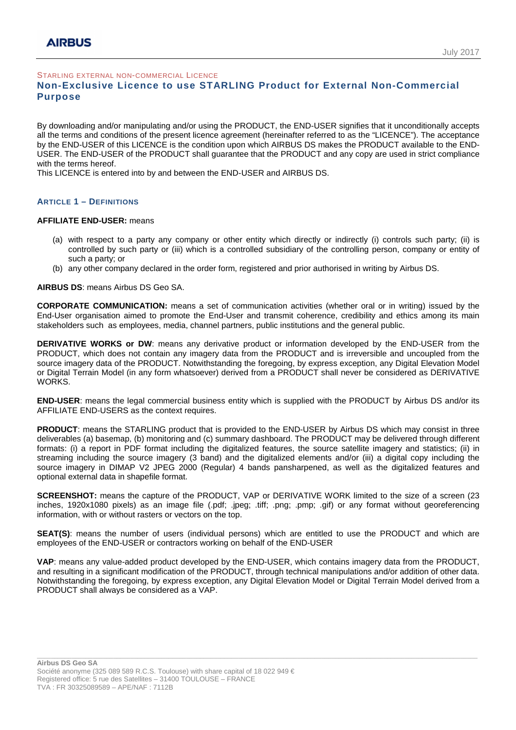STARLING EXTERNAL NON-COMMERCIAL LICENCE

# **Non-Exclusive Licence to use STARLING Product for External Non-Commercial Purpose**

By downloading and/or manipulating and/or using the PRODUCT, the END-USER signifies that it unconditionally accepts all the terms and conditions of the present licence agreement (hereinafter referred to as the "LICENCE"). The acceptance by the END-USER of this LICENCE is the condition upon which AIRBUS DS makes the PRODUCT available to the END-USER. The END-USER of the PRODUCT shall guarantee that the PRODUCT and any copy are used in strict compliance with the terms hereof.

This LICENCE is entered into by and between the END-USER and AIRBUS DS.

#### **ARTICLE 1 – DEFINITIONS**

#### **AFFILIATE END-USER:** means

- (a) with respect to a party any company or other entity which directly or indirectly (i) controls such party; (ii) is controlled by such party or (iii) which is a controlled subsidiary of the controlling person, company or entity of such a party; or
- (b) any other company declared in the order form, registered and prior authorised in writing by Airbus DS.

#### **AIRBUS DS**: means Airbus DS Geo SA.

**CORPORATE COMMUNICATION:** means a set of communication activities (whether oral or in writing) issued by the End-User organisation aimed to promote the End-User and transmit coherence, credibility and ethics among its main stakeholders such as employees, media, channel partners, public institutions and the general public.

**DERIVATIVE WORKS or DW**: means any derivative product or information developed by the END-USER from the PRODUCT, which does not contain any imagery data from the PRODUCT and is irreversible and uncoupled from the source imagery data of the PRODUCT. Notwithstanding the foregoing, by express exception, any Digital Elevation Model or Digital Terrain Model (in any form whatsoever) derived from a PRODUCT shall never be considered as DERIVATIVE WORKS.

**END-USER**: means the legal commercial business entity which is supplied with the PRODUCT by Airbus DS and/or its AFFILIATE END-USERS as the context requires.

**PRODUCT**: means the STARLING product that is provided to the END-USER by Airbus DS which may consist in three deliverables (a) basemap, (b) monitoring and (c) summary dashboard. The PRODUCT may be delivered through different formats: (i) a report in PDF format including the digitalized features, the source satellite imagery and statistics; (ii) in streaming including the source imagery (3 band) and the digitalized elements and/or (iii) a digital copy including the source imagery in DIMAP V2 JPEG 2000 (Regular) 4 bands pansharpened, as well as the digitalized features and optional external data in shapefile format.

**SCREENSHOT:** means the capture of the PRODUCT, VAP or DERIVATIVE WORK limited to the size of a screen (23 inches, 1920x1080 pixels) as an image file (.pdf; .jpeg; .tiff; .png; .pmp; .gif) or any format without georeferencing information, with or without rasters or vectors on the top.

**SEAT(S)**: means the number of users (individual persons) which are entitled to use the PRODUCT and which are employees of the END-USER or contractors working on behalf of the END-USER

**VAP**: means any value-added product developed by the END-USER, which contains imagery data from the PRODUCT, and resulting in a significant modification of the PRODUCT, through technical manipulations and/or addition of other data. Notwithstanding the foregoing, by express exception, any Digital Elevation Model or Digital Terrain Model derived from a PRODUCT shall always be considered as a VAP.

\_\_\_\_\_\_\_\_\_\_\_\_\_\_\_\_\_\_\_\_\_\_\_\_\_\_\_\_\_\_\_\_\_\_\_\_\_\_\_\_\_\_\_\_\_\_\_\_\_\_\_\_\_\_\_\_\_\_\_\_\_\_\_\_\_\_\_\_\_\_\_\_\_\_\_\_\_\_\_\_\_\_\_\_\_\_\_\_\_\_\_\_\_\_\_\_\_\_\_\_\_\_\_\_\_\_\_\_\_\_\_\_\_\_\_\_\_\_\_\_\_\_\_\_\_\_\_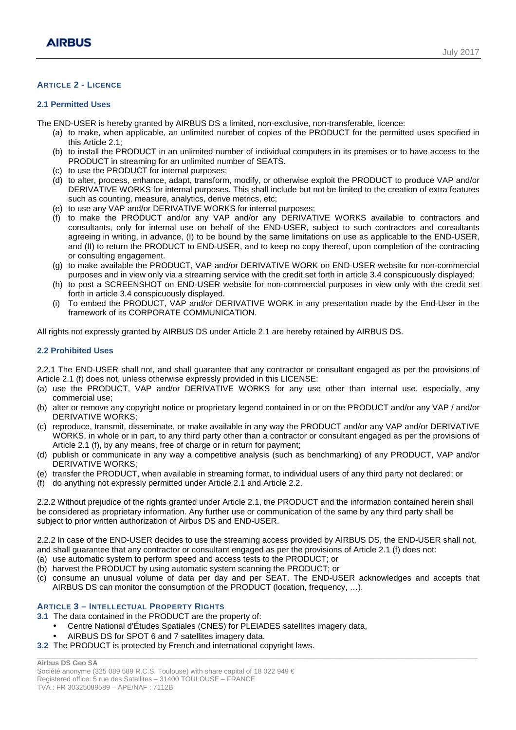# **ARTICLE 2 - LICENCE**

### **2.1 Permitted Uses**

The END-USER is hereby granted by AIRBUS DS a limited, non-exclusive, non-transferable, licence:

- (a) to make, when applicable, an unlimited number of copies of the PRODUCT for the permitted uses specified in this Article 2.1;
- (b) to install the PRODUCT in an unlimited number of individual computers in its premises or to have access to the PRODUCT in streaming for an unlimited number of SEATS.
- (c) to use the PRODUCT for internal purposes;
- (d) to alter, process, enhance, adapt, transform, modify, or otherwise exploit the PRODUCT to produce VAP and/or DERIVATIVE WORKS for internal purposes. This shall include but not be limited to the creation of extra features such as counting, measure, analytics, derive metrics, etc;
- (e) to use any VAP and/or DERIVATIVE WORKS for internal purposes;
- (f) to make the PRODUCT and/or any VAP and/or any DERIVATIVE WORKS available to contractors and consultants, only for internal use on behalf of the END-USER, subject to such contractors and consultants agreeing in writing, in advance, (I) to be bound by the same limitations on use as applicable to the END-USER, and (II) to return the PRODUCT to END-USER, and to keep no copy thereof, upon completion of the contracting or consulting engagement.
- (g) to make available the PRODUCT, VAP and/or DERIVATIVE WORK on END-USER website for non-commercial purposes and in view only via a streaming service with the credit set forth in article 3.4 conspicuously displayed;
- (h) to post a SCREENSHOT on END-USER website for non-commercial purposes in view only with the credit set forth in article 3.4 conspicuously displayed.
- (i) To embed the PRODUCT, VAP and/or DERIVATIVE WORK in any presentation made by the End-User in the framework of its CORPORATE COMMUNICATION.

All rights not expressly granted by AIRBUS DS under Article 2.1 are hereby retained by AIRBUS DS.

### **2.2 Prohibited Uses**

2.2.1 The END-USER shall not, and shall guarantee that any contractor or consultant engaged as per the provisions of Article 2.1 (f) does not, unless otherwise expressly provided in this LICENSE:

- (a) use the PRODUCT, VAP and/or DERIVATIVE WORKS for any use other than internal use, especially, any commercial use;
- (b) alter or remove any copyright notice or proprietary legend contained in or on the PRODUCT and/or any VAP / and/or DERIVATIVE WORKS;
- (c) reproduce, transmit, disseminate, or make available in any way the PRODUCT and/or any VAP and/or DERIVATIVE WORKS, in whole or in part, to any third party other than a contractor or consultant engaged as per the provisions of Article 2.1 (f), by any means, free of charge or in return for payment;
- (d) publish or communicate in any way a competitive analysis (such as benchmarking) of any PRODUCT, VAP and/or DERIVATIVE WORKS;
- (e) transfer the PRODUCT, when available in streaming format, to individual users of any third party not declared; or
- (f) do anything not expressly permitted under Article 2.1 and Article 2.2.

2.2.2 Without prejudice of the rights granted under Article 2.1, the PRODUCT and the information contained herein shall be considered as proprietary information. Any further use or communication of the same by any third party shall be subject to prior written authorization of Airbus DS and END-USER.

2.2.2 In case of the END-USER decides to use the streaming access provided by AIRBUS DS, the END-USER shall not, and shall guarantee that any contractor or consultant engaged as per the provisions of Article 2.1 (f) does not:

- (a) use automatic system to perform speed and access tests to the PRODUCT; or
- (b) harvest the PRODUCT by using automatic system scanning the PRODUCT; or
- (c) consume an unusual volume of data per day and per SEAT. The END-USER acknowledges and accepts that AIRBUS DS can monitor the consumption of the PRODUCT (location, frequency, …).

\_\_\_\_\_\_\_\_\_\_\_\_\_\_\_\_\_\_\_\_\_\_\_\_\_\_\_\_\_\_\_\_\_\_\_\_\_\_\_\_\_\_\_\_\_\_\_\_\_\_\_\_\_\_\_\_\_\_\_\_\_\_\_\_\_\_\_\_\_\_\_\_\_\_\_\_\_\_\_\_\_\_\_\_\_\_\_\_\_\_\_\_\_\_\_\_\_\_\_\_\_\_\_\_\_\_\_\_\_\_\_\_\_\_\_\_\_\_\_\_\_\_\_\_\_\_\_

## **ARTICLE 3 – INTELLECTUAL PROPERTY RIGHTS**

**3.1** The data contained in the PRODUCT are the property of:

- Centre National d'Études Spatiales (CNES) for PLEIADES satellites imagery data,
- AIRBUS DS for SPOT 6 and 7 satellites imagery data.
- **3.2** The PRODUCT is protected by French and international copyright laws.

**Airbus DS Geo SA**  Société anonyme (325 089 589 R.C.S. Toulouse) with share capital of 18 022 949  $\in$ Registered office: 5 rue des Satellites – 31400 TOULOUSE – FRANCE TVA : FR 30325089589 – APE/NAF : 7112B